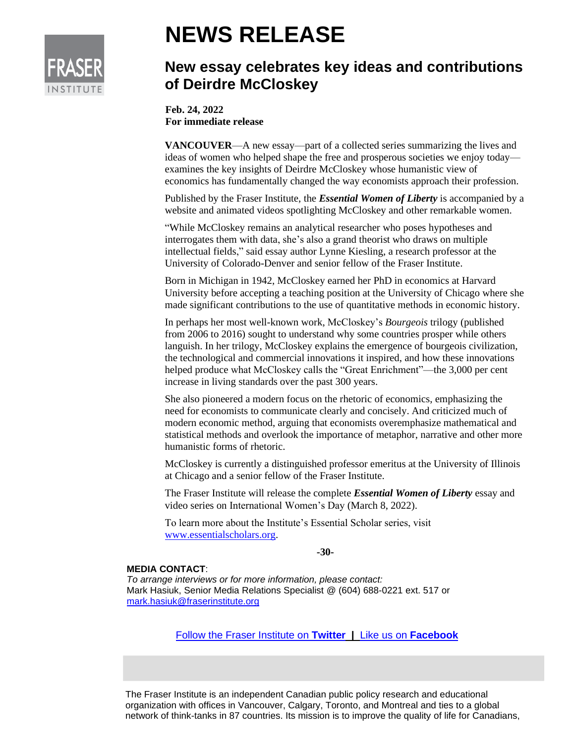

## **NEWS RELEASE**

## **New essay celebrates key ideas and contributions of Deirdre McCloskey**

**Feb. 24, 2022 For immediate release**

**VANCOUVER—A** new essay—part of a collected series summarizing the lives and ideas of women who helped shape the free and prosperous societies we enjoy today examines the key insights of Deirdre McCloskey whose humanistic view of economics has fundamentally changed the way economists approach their profession.

Published by the Fraser Institute, the *Essential Women of Liberty* is accompanied by a website and animated videos spotlighting McCloskey and other remarkable women.

"While McCloskey remains an analytical researcher who poses hypotheses and interrogates them with data, she's also a grand theorist who draws on multiple intellectual fields," said essay author Lynne Kiesling, a research professor at the University of Colorado-Denver and senior fellow of the Fraser Institute.

Born in Michigan in 1942, McCloskey earned her PhD in economics at Harvard University before accepting a teaching position at the University of Chicago where she made significant contributions to the use of quantitative methods in economic history.

In perhaps her most well-known work, McCloskey's *Bourgeois* trilogy (published from 2006 to 2016) sought to understand why some countries prosper while others languish. In her trilogy, McCloskey explains the emergence of bourgeois civilization, the technological and commercial innovations it inspired, and how these innovations helped produce what McCloskey calls the "Great Enrichment"—the 3,000 per cent increase in living standards over the past 300 years.

She also pioneered a modern focus on the rhetoric of economics, emphasizing the need for economists to communicate clearly and concisely. And criticized much of modern economic method, arguing that economists overemphasize mathematical and statistical methods and overlook the importance of metaphor, narrative and other more humanistic forms of rhetoric.

McCloskey is currently a distinguished professor emeritus at the University of Illinois at Chicago and a senior fellow of the Fraser Institute.

The Fraser Institute will release the complete *Essential Women of Liberty* essay and video series on International Women's Day (March 8, 2022).

To learn more about the Institute's Essential Scholar series, visit [www.essentialscholars.org.](http://www.essentialscholars.org/)

## **-30-**

## **MEDIA CONTACT**:

*To arrange interviews or for more information, please contact:*  Mark Hasiuk, Senior Media Relations Specialist @ (604) 688-0221 ext. 517 or [mark.hasiuk@fraserinstitute.org](mailto:mark.hasiuk@fraserinstitute.org)

[Follow the Fraser Institute on](http://www.twitter.com/FraserInstitute) **Twitter |** Like us on **[Facebook](http://www.facebook.com/FraserInstitute)**

The Fraser Institute is an independent Canadian public policy research and educational organization with offices in Vancouver, Calgary, Toronto, and Montreal and ties to a global network of think-tanks in 87 countries. Its mission is to improve the quality of life for Canadians,